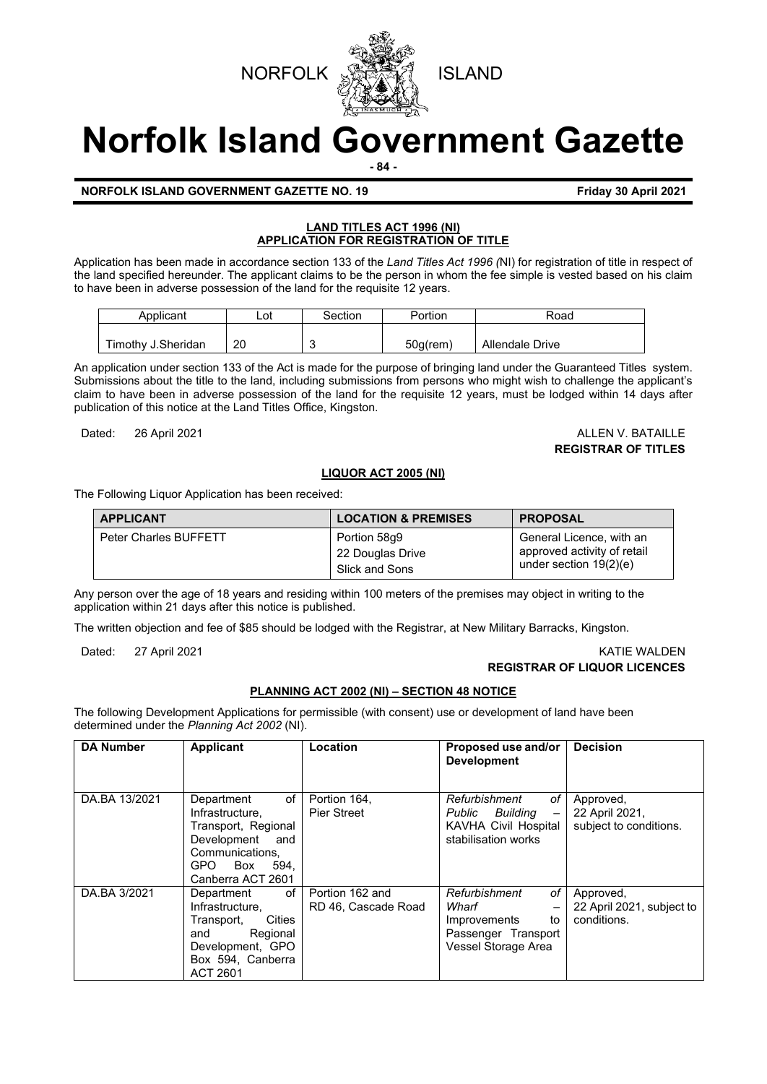



# **Norfolk Island Government Gazette**

**- 84 -**

# **NORFOLK ISLAND GOVERNMENT GAZETTE NO. 19 Friday 30 April 2021**

# **LAND TITLES ACT 1996 (NI) APPLICATION FOR REGISTRATION OF TITLE**

Application has been made in accordance section 133 of the *Land Titles Act 1996 (*NI) for registration of title in respect of the land specified hereunder. The applicant claims to be the person in whom the fee simple is vested based on his claim to have been in adverse possession of the land for the requisite 12 years.

| Applicant          | Lot | Section | Portion     | Road                   |
|--------------------|-----|---------|-------------|------------------------|
| Timothy J.Sheridan | 20  |         | $50q$ (rem) | <b>Allendale Drive</b> |
|                    |     |         |             |                        |

An application under section 133 of the Act is made for the purpose of bringing land under the Guaranteed Titles system. Submissions about the title to the land, including submissions from persons who might wish to challenge the applicant's claim to have been in adverse possession of the land for the requisite 12 years, must be lodged within 14 days after publication of this notice at the Land Titles Office, Kingston.

Dated: 26 April 2021 **ALLEN V. BATAILLE** 

**REGISTRAR OF TITLES**

# **LIQUOR ACT 2005 (NI)**

The Following Liquor Application has been received:

| <b>APPLICANT</b>             | <b>LOCATION &amp; PREMISES</b>                     | <b>PROPOSAL</b>                                                                     |
|------------------------------|----------------------------------------------------|-------------------------------------------------------------------------------------|
| <b>Peter Charles BUFFETT</b> | Portion 58q9<br>22 Douglas Drive<br>Slick and Sons | General Licence, with an<br>approved activity of retail<br>under section $19(2)(e)$ |

Any person over the age of 18 years and residing within 100 meters of the premises may object in writing to the application within 21 days after this notice is published.

The written objection and fee of \$85 should be lodged with the Registrar, at New Military Barracks, Kingston.

Dated: 27 April 2021 KATIE WALDEN

# **REGISTRAR OF LIQUOR LICENCES**

# **PLANNING ACT 2002 (NI) – SECTION 48 NOTICE**

The following Development Applications for permissible (with consent) use or development of land have been determined under the *Planning Act 2002* (NI).

| <b>DA Number</b> | <b>Applicant</b>                                                                                                                            | Location                               | Proposed use and/or<br><b>Development</b>                                                                                    | <b>Decision</b>                                       |
|------------------|---------------------------------------------------------------------------------------------------------------------------------------------|----------------------------------------|------------------------------------------------------------------------------------------------------------------------------|-------------------------------------------------------|
| DA.BA 13/2021    | of<br>Department<br>Infrastructure,<br>Transport, Regional<br>Development<br>and<br>Communications.<br>GPO Box<br>594.<br>Canberra ACT 2601 | Portion 164,<br><b>Pier Street</b>     | Refurbishment<br>оf<br>Public Building<br>$\qquad \qquad -$<br>KAVHA Civil Hospital<br>stabilisation works                   | Approved,<br>22 April 2021,<br>subject to conditions. |
| DA.BA 3/2021     | of<br>Department<br>Infrastructure.<br>Cities<br>Transport,<br>Regional<br>and<br>Development, GPO<br>Box 594, Canberra<br><b>ACT 2601</b>  | Portion 162 and<br>RD 46, Cascade Road | Refurbishment<br>оf<br>Wharf<br>$\overline{\phantom{0}}$<br>Improvements<br>to<br>Passenger Transport<br>Vessel Storage Area | Approved,<br>22 April 2021, subject to<br>conditions. |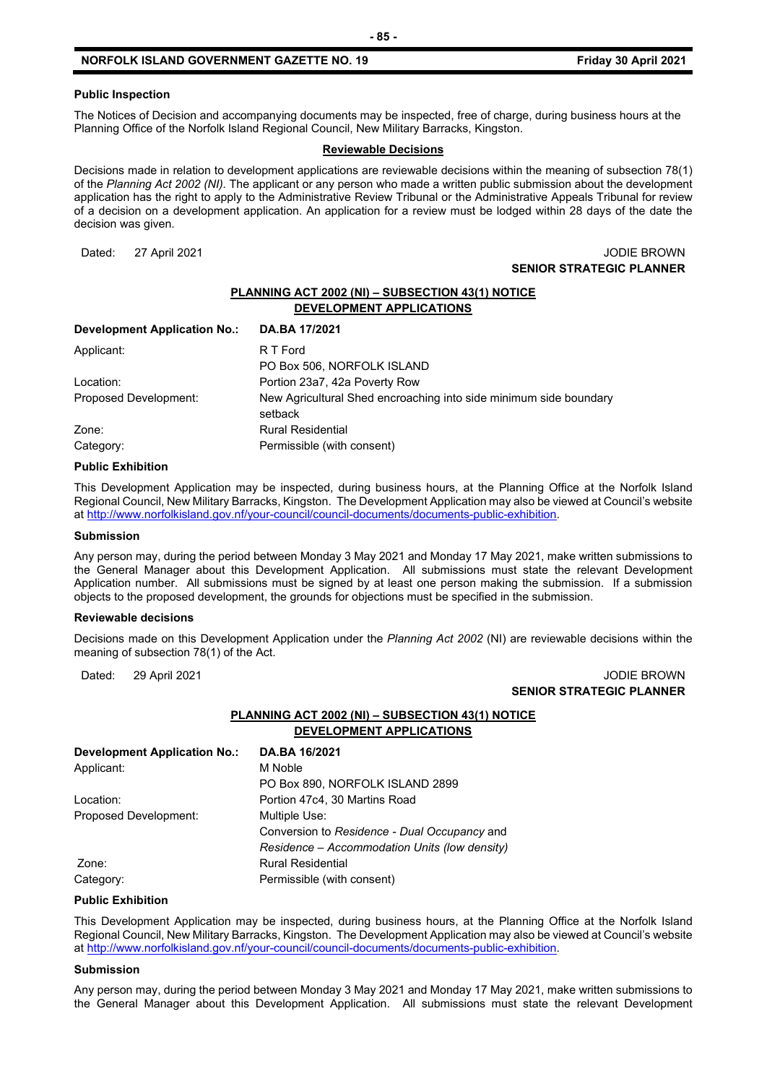#### **Public Inspection**

The Notices of Decision and accompanying documents may be inspected, free of charge, during business hours at the Planning Office of the Norfolk Island Regional Council, New Military Barracks, Kingston.

#### **Reviewable Decisions**

Decisions made in relation to development applications are reviewable decisions within the meaning of subsection 78(1) of the *Planning Act 2002 (NI).* The applicant or any person who made a written public submission about the development application has the right to apply to the Administrative Review Tribunal or the Administrative Appeals Tribunal for review of a decision on a development application. An application for a review must be lodged within 28 days of the date the decision was given.

#### Dated: 27 April 2021 JODIE BROWN **SENIOR STRATEGIC PLANNER**

# **PLANNING ACT 2002 (NI) – SUBSECTION 43(1) NOTICE DEVELOPMENT APPLICATIONS**

| DA.BA 17/2021                                                                |
|------------------------------------------------------------------------------|
| R T Ford                                                                     |
| PO Box 506, NORFOLK ISLAND                                                   |
| Portion 23a7, 42a Poverty Row                                                |
| New Agricultural Shed encroaching into side minimum side boundary<br>setback |
|                                                                              |
| <b>Rural Residential</b>                                                     |
| Permissible (with consent)                                                   |
|                                                                              |

#### **Public Exhibition**

This Development Application may be inspected, during business hours, at the Planning Office at the Norfolk Island Regional Council, New Military Barracks, Kingston. The Development Application may also be viewed at Council's website a[t http://www.norfolkisland.gov.nf/your-council/council-documents/documents-public-exhibition.](http://www.norfolkisland.gov.nf/your-council/council-documents/documents-public-exhibition)

#### **Submission**

Any person may, during the period between Monday 3 May 2021 and Monday 17 May 2021, make written submissions to the General Manager about this Development Application. All submissions must state the relevant Development Application number. All submissions must be signed by at least one person making the submission. If a submission objects to the proposed development, the grounds for objections must be specified in the submission.

#### **Reviewable decisions**

Decisions made on this Development Application under the *Planning Act 2002* (NI) are reviewable decisions within the meaning of subsection 78(1) of the Act.

#### Dated: 29 April 2021 JODIE BROWN **SENIOR STRATEGIC PLANNER**

# **PLANNING ACT 2002 (NI) – SUBSECTION 43(1) NOTICE DEVELOPMENT APPLICATIONS**

| <b>Development Application No.:</b> | DA.BA 16/2021                                 |
|-------------------------------------|-----------------------------------------------|
| Applicant:                          | M Noble                                       |
|                                     | PO Box 890, NORFOLK ISLAND 2899               |
| Location:                           | Portion 47c4, 30 Martins Road                 |
| Proposed Development:               | Multiple Use:                                 |
|                                     | Conversion to Residence - Dual Occupancy and  |
|                                     | Residence – Accommodation Units (low density) |
| Zone:                               | <b>Rural Residential</b>                      |
| Category:                           | Permissible (with consent)                    |

#### **Public Exhibition**

This Development Application may be inspected, during business hours, at the Planning Office at the Norfolk Island Regional Council, New Military Barracks, Kingston. The Development Application may also be viewed at Council's website a[t http://www.norfolkisland.gov.nf/your-council/council-documents/documents-public-exhibition.](http://www.norfolkisland.gov.nf/your-council/council-documents/documents-public-exhibition)

#### **Submission**

Any person may, during the period between Monday 3 May 2021 and Monday 17 May 2021, make written submissions to the General Manager about this Development Application. All submissions must state the relevant Development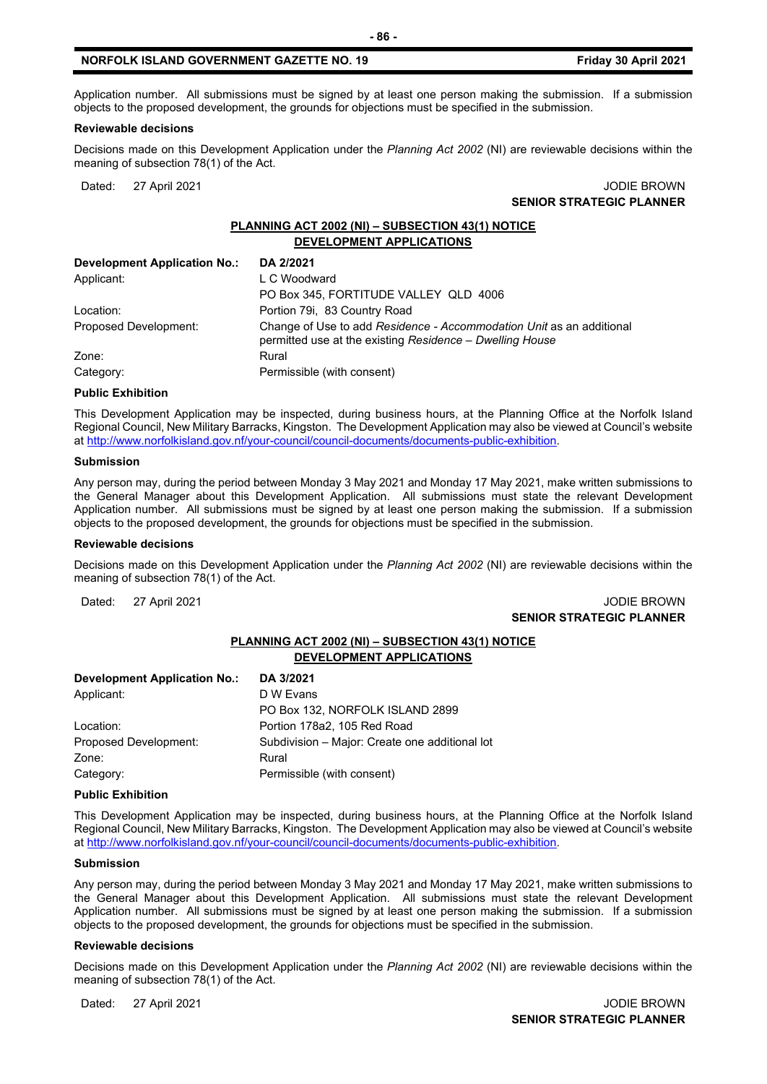Application number. All submissions must be signed by at least one person making the submission. If a submission objects to the proposed development, the grounds for objections must be specified in the submission.

#### **Reviewable decisions**

Decisions made on this Development Application under the *Planning Act 2002* (NI) are reviewable decisions within the meaning of subsection 78(1) of the Act.

Dated: 27 April 2021 JODIE BROWN **SENIOR STRATEGIC PLANNER** 

# **PLANNING ACT 2002 (NI) – SUBSECTION 43(1) NOTICE DEVELOPMENT APPLICATIONS**

| <b>Development Application No.:</b> | DA 2/2021                                                                                                                        |
|-------------------------------------|----------------------------------------------------------------------------------------------------------------------------------|
| Applicant:                          | L C Woodward                                                                                                                     |
|                                     | PO Box 345, FORTITUDE VALLEY QLD 4006                                                                                            |
| Location:                           | Portion 79i, 83 Country Road                                                                                                     |
| Proposed Development:               | Change of Use to add Residence - Accommodation Unit as an additional<br>permitted use at the existing Residence - Dwelling House |
| Zone:                               | Rural                                                                                                                            |
| Category:                           | Permissible (with consent)                                                                                                       |

#### **Public Exhibition**

This Development Application may be inspected, during business hours, at the Planning Office at the Norfolk Island Regional Council, New Military Barracks, Kingston. The Development Application may also be viewed at Council's website a[t http://www.norfolkisland.gov.nf/your-council/council-documents/documents-public-exhibition.](http://www.norfolkisland.gov.nf/your-council/council-documents/documents-public-exhibition)

#### **Submission**

Any person may, during the period between Monday 3 May 2021 and Monday 17 May 2021, make written submissions to the General Manager about this Development Application. All submissions must state the relevant Development Application number. All submissions must be signed by at least one person making the submission. If a submission objects to the proposed development, the grounds for objections must be specified in the submission.

#### **Reviewable decisions**

Decisions made on this Development Application under the *Planning Act 2002* (NI) are reviewable decisions within the meaning of subsection 78(1) of the Act.

Dated: 27 April 2021 JODIE BROWN **SENIOR STRATEGIC PLANNER** 

# **PLANNING ACT 2002 (NI) – SUBSECTION 43(1) NOTICE DEVELOPMENT APPLICATIONS**

| <b>Development Application No.:</b> | DA 3/2021                                      |
|-------------------------------------|------------------------------------------------|
| Applicant:                          | D W Evans                                      |
|                                     | PO Box 132, NORFOLK ISLAND 2899                |
| Location:                           | Portion 178a2, 105 Red Road                    |
| Proposed Development:               | Subdivision - Major: Create one additional lot |
| Zone:                               | Rural                                          |
| Category:                           | Permissible (with consent)                     |

#### **Public Exhibition**

This Development Application may be inspected, during business hours, at the Planning Office at the Norfolk Island Regional Council, New Military Barracks, Kingston. The Development Application may also be viewed at Council's website a[t http://www.norfolkisland.gov.nf/your-council/council-documents/documents-public-exhibition.](http://www.norfolkisland.gov.nf/your-council/council-documents/documents-public-exhibition)

#### **Submission**

Any person may, during the period between Monday 3 May 2021 and Monday 17 May 2021, make written submissions to the General Manager about this Development Application. All submissions must state the relevant Development Application number. All submissions must be signed by at least one person making the submission. If a submission objects to the proposed development, the grounds for objections must be specified in the submission.

#### **Reviewable decisions**

Decisions made on this Development Application under the *Planning Act 2002* (NI) are reviewable decisions within the meaning of subsection 78(1) of the Act.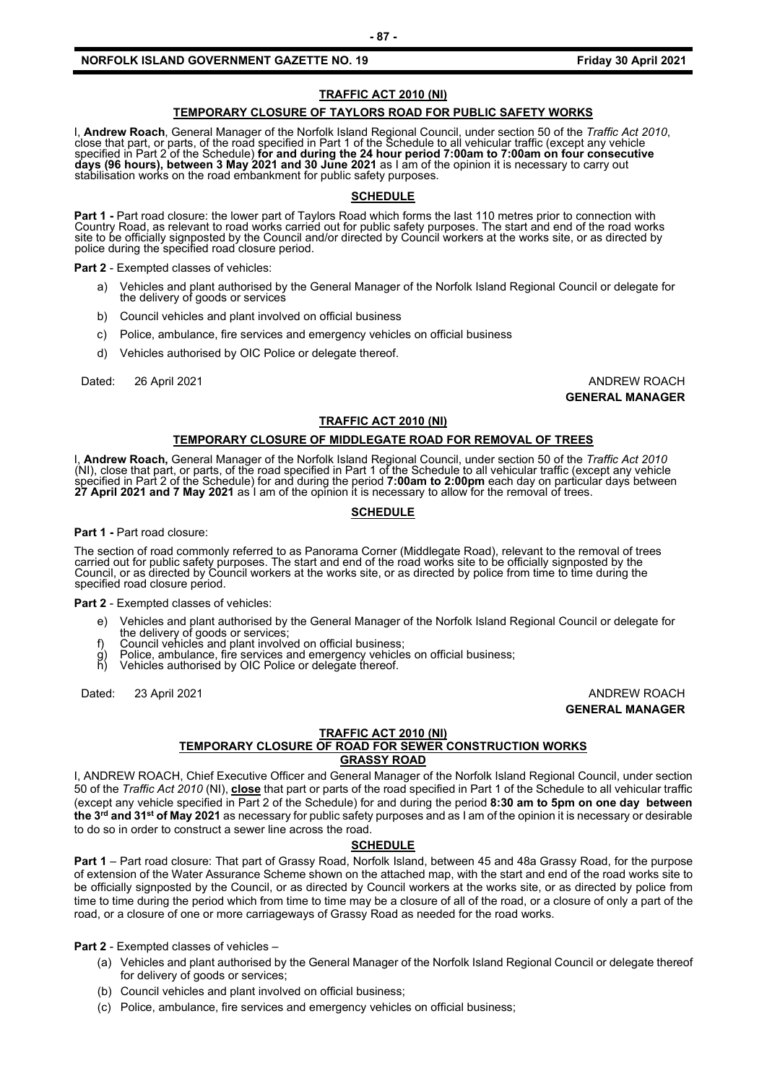# **TRAFFIC ACT 2010 (NI)**

#### **TEMPORARY CLOSURE OF TAYLORS ROAD FOR PUBLIC SAFETY WORKS**

I, Andrew Roach, General Manager of the Norfolk Island Regional Council, under section 50 of the Traffic Act 2010, close that part, or parts, of the road specified in Part 1 of the Schedule to all vehicular traffic (except specified in Part 2 of the Schedule) **for and during the 24 hour period 7:00am to 7:00am on four consecutive days (96 hours), between 3 May 2021 and 30 June 2021** as I am of the opinion it is necessary to carry out stabilisation works on the road embankment for public safety purposes.

#### **SCHEDULE**

Part 1 - Part road closure: the lower part of Taylors Road which forms the last 110 metres prior to connection with<br>Country Road, as relevant to road works carried out for public safety purposes. The start and end of the r site to be officially signposted by the Council and/or directed by Council workers at the works site, or as directed by police during the specified road closure period.

**Part 2** - Exempted classes of vehicles:

- a) Vehicles and plant authorised by the General Manager of the Norfolk Island Regional Council or delegate for the delivery of goods or services
- b) Council vehicles and plant involved on official business
- c) Police, ambulance, fire services and emergency vehicles on official business
- d) Vehicles authorised by OIC Police or delegate thereof.

Dated: 26 April 2021 **ANDREW ROACH** 

**GENERAL MANAGER**

#### **TRAFFIC ACT 2010 (NI)**

#### **TEMPORARY CLOSURE OF MIDDLEGATE ROAD FOR REMOVAL OF TREES**

I, **Andrew Roach,** General Manager of the Norfolk Island Regional Council, under section 50 of the *Traffic Act 2010* (NI), close that part, or parts, of the road specified in Part 1 of the Schedule to all vehicular traffic (except any vehicle specified in Part 2 of the Schedule) for and during the period **7:00am to 2:00pm** each day on particular days between **27 April 2021 and 7 May 2021** as I am of the opinion it is necessary to allow for the removal of trees.

#### **SCHEDULE**

#### **Part 1 -** Part road closure:

The section of road commonly referred to as Panorama Corner (Middlegate Road), relevant to the removal of trees carried out for public safety purposes. The start and end of the road works site to be officially signposted by the Council, or as directed by Council workers at the works site, or as directed by police from time to time d

**Part 2** - Exempted classes of vehicles:

- e) Vehicles and plant authorised by the General Manager of the Norfolk Island Regional Council or delegate for the delivery of goods or services;
- f) Council vehicles and plant involved on official business;
- g) Police, ambulance, fire services and emergency vehicles on official business;<br>b) Vehicles authorised by OIC Police or delegate thereof.
- Vehicles authorised by OIC Police or delegate thereof.

Dated: 23 April 2021 **ANDREW ROACH GENERAL MANAGER**

#### **TRAFFIC ACT 2010 (NI)**

# **TEMPORARY CLOSURE OF ROAD FOR SEWER CONSTRUCTION WORKS GRASSY ROAD**

I, ANDREW ROACH, Chief Executive Officer and General Manager of the Norfolk Island Regional Council, under section 50 of the *Traffic Act 2010* (NI), **close** that part or parts of the road specified in Part 1 of the Schedule to all vehicular traffic (except any vehicle specified in Part 2 of the Schedule) for and during the period **8:30 am to 5pm on one day between the 3rd and 31st of May 2021** as necessary for public safety purposes and as I am of the opinion it is necessary or desirable to do so in order to construct a sewer line across the road.

#### **SCHEDULE**

**Part 1** – Part road closure: That part of Grassy Road, Norfolk Island, between 45 and 48a Grassy Road, for the purpose of extension of the Water Assurance Scheme shown on the attached map, with the start and end of the road works site to be officially signposted by the Council, or as directed by Council workers at the works site, or as directed by police from time to time during the period which from time to time may be a closure of all of the road, or a closure of only a part of the road, or a closure of one or more carriageways of Grassy Road as needed for the road works.

**Part 2** - Exempted classes of vehicles –

- (a) Vehicles and plant authorised by the General Manager of the Norfolk Island Regional Council or delegate thereof for delivery of goods or services;
- (b) Council vehicles and plant involved on official business;
- (c) Police, ambulance, fire services and emergency vehicles on official business;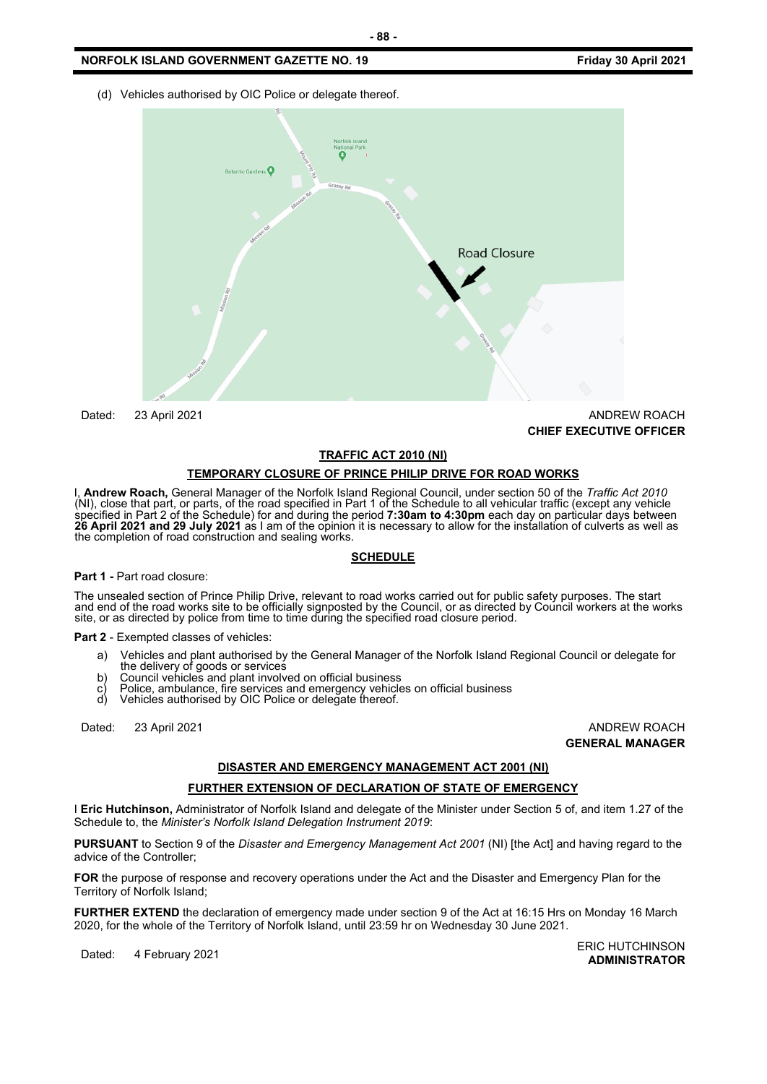(d) Vehicles authorised by OIC Police or delegate thereof.



Dated: 23 April 2021 **ANDREW ROACH CHIEF EXECUTIVE OFFICER** 

#### **TRAFFIC ACT 2010 (NI)**

#### **TEMPORARY CLOSURE OF PRINCE PHILIP DRIVE FOR ROAD WORKS**

I, **Andrew Roach,** General Manager of the Norfolk Island Regional Council, under section 50 of the *Traffic Act 2010* (NI), close that part, or parts, of the road specified in Part 1 of the Schedule to all vehicular traffic (except any vehicle specified in Part 2 of the Schedule) for and during the period **7:30am to 4:30pm** each day on particular days between **26 April 2021 and 29 July 2021** as I am of the opinion it is necessary to allow for the installation of culverts as well as the completion of road construction and sealing works.

#### **SCHEDULE**

#### **Part 1 -** Part road closure:

The unsealed section of Prince Philip Drive, relevant to road works carried out for public safety purposes. The start<br>and end of the road works site to be officially signposted by the Council, or as directed by Council wor

**Part 2** - Exempted classes of vehicles:

- a) Vehicles and plant authorised by the General Manager of the Norfolk Island Regional Council or delegate for the delivery of goods or services
- b) Council vehicles and plant involved on official business
- c) Police, ambulance, fire services and emergency vehicles on official business
- Vehicles authorised by OIC Police or delegate thereof.

Dated: 23 April 2021 **ANDREW ROACH** 

**GENERAL MANAGER**

# **DISASTER AND EMERGENCY MANAGEMENT ACT 2001 (NI)**

#### **FURTHER EXTENSION OF DECLARATION OF STATE OF EMERGENCY**

I **Eric Hutchinson,** Administrator of Norfolk Island and delegate of the Minister under Section 5 of, and item 1.27 of the Schedule to, the *Minister's Norfolk Island Delegation Instrument 2019*:

**PURSUANT** to Section 9 of the *Disaster and Emergency Management Act 2001* (NI) [the Act] and having regard to the advice of the Controller;

**FOR** the purpose of response and recovery operations under the Act and the Disaster and Emergency Plan for the Territory of Norfolk Island;

**FURTHER EXTEND** the declaration of emergency made under section 9 of the Act at 16:15 Hrs on Monday 16 March 2020, for the whole of the Territory of Norfolk Island, until 23:59 hr on Wednesday 30 June 2021.

Dated: 4 February 2021<br>Dated: 4 February 2021 **ADMINISTRATOR**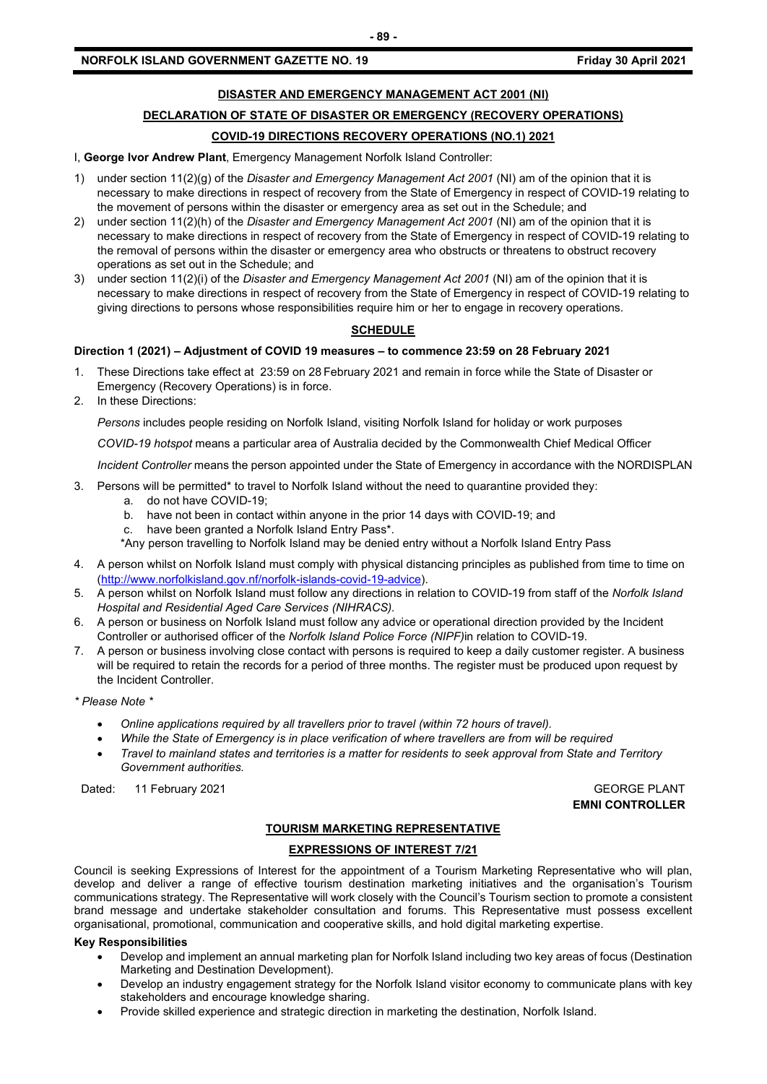# **DISASTER AND EMERGENCY MANAGEMENT ACT 2001 (NI)**

# **DECLARATION OF STATE OF DISASTER OR EMERGENCY (RECOVERY OPERATIONS)**

# **COVID-19 DIRECTIONS RECOVERY OPERATIONS (NO.1) 2021**

I, **George Ivor Andrew Plant**, Emergency Management Norfolk Island Controller:

- 1) under section 11(2)(g) of the *Disaster and Emergency Management Act 2001* (NI) am of the opinion that it is necessary to make directions in respect of recovery from the State of Emergency in respect of COVID-19 relating to the movement of persons within the disaster or emergency area as set out in the Schedule; and
- 2) under section 11(2)(h) of the *Disaster and Emergency Management Act 2001* (NI) am of the opinion that it is necessary to make directions in respect of recovery from the State of Emergency in respect of COVID-19 relating to the removal of persons within the disaster or emergency area who obstructs or threatens to obstruct recovery operations as set out in the Schedule; and
- 3) under section 11(2)(i) of the *Disaster and Emergency Management Act 2001* (NI) am of the opinion that it is necessary to make directions in respect of recovery from the State of Emergency in respect of COVID-19 relating to giving directions to persons whose responsibilities require him or her to engage in recovery operations.

# **SCHEDULE**

## **Direction 1 (2021) – Adjustment of COVID 19 measures – to commence 23:59 on 28 February 2021**

- 1. These Directions take effect at 23:59 on 28 February 2021 and remain in force while the State of Disaster or Emergency (Recovery Operations) is in force.
- 2. In these Directions:

*Persons* includes people residing on Norfolk Island, visiting Norfolk Island for holiday or work purposes

*COVID-19 hotspot* means a particular area of Australia decided by the Commonwealth Chief Medical Officer

*Incident Controller* means the person appointed under the State of Emergency in accordance with the NORDISPLAN

- 3. Persons will be permitted\* to travel to Norfolk Island without the need to quarantine provided they:
	- a. do not have COVID-19;
	- b. have not been in contact within anyone in the prior 14 days with COVID-19; and
	- c. have been granted a Norfolk Island Entry Pass\*.
	- \*Any person travelling to Norfolk Island may be denied entry without a Norfolk Island Entry Pass
- 4. A person whilst on Norfolk Island must comply with physical distancing principles as published from time to time on [\(http://www.norfolkisland.gov.nf/norfolk-islands-covid-19-advice\)](http://www.norfolkisland.gov.nf/norfolk-islands-covid-19-advice).
- 5. A person whilst on Norfolk Island must follow any directions in relation to COVID-19 from staff of the *Norfolk Island Hospital and Residential Aged Care Services (NIHRACS).*
- 6. A person or business on Norfolk Island must follow any advice or operational direction provided by the Incident Controller or authorised officer of the *Norfolk Island Police Force (NIPF)*in relation to COVID-19.
- 7. A person or business involving close contact with persons is required to keep a daily customer register. A business will be required to retain the records for a period of three months. The register must be produced upon request by the Incident Controller.
- *\* Please Note \** 
	- *Online applications required by all travellers prior to travel (within 72 hours of travel).*
	- *While the State of Emergency is in place verification of where travellers are from will be required*
	- *Travel to mainland states and territories is a matter for residents to seek approval from State and Territory Government authorities.*

Dated: 11 February 2021 **GEORGE PLANT** 

**EMNI CONTROLLER**

# **TOURISM MARKETING REPRESENTATIVE**

## **EXPRESSIONS OF INTEREST 7/21**

Council is seeking Expressions of Interest for the appointment of a Tourism Marketing Representative who will plan, develop and deliver a range of effective tourism destination marketing initiatives and the organisation's Tourism communications strategy. The Representative will work closely with the Council's Tourism section to promote a consistent brand message and undertake stakeholder consultation and forums. This Representative must possess excellent organisational, promotional, communication and cooperative skills, and hold digital marketing expertise.

#### **Key Responsibilities**

- Develop and implement an annual marketing plan for Norfolk Island including two key areas of focus (Destination Marketing and Destination Development).
- Develop an industry engagement strategy for the Norfolk Island visitor economy to communicate plans with key stakeholders and encourage knowledge sharing.
- Provide skilled experience and strategic direction in marketing the destination, Norfolk Island.